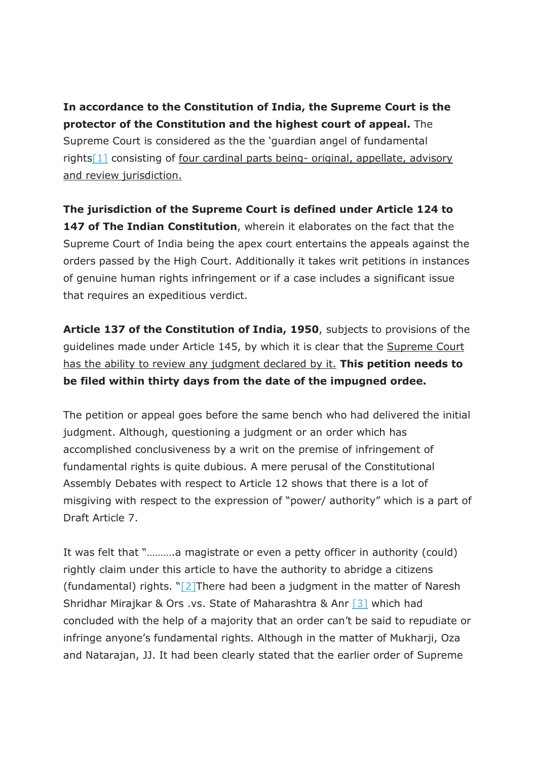**In accordance to the Constitution of India, the Supreme Court is the protector of the Constitution and the highest court of appeal.** The Supreme Court is considered as the the 'guardian angel of fundamental rights[1] consisting of four cardinal parts being- original, appellate, advisory and review jurisdiction.

**The jurisdiction of the Supreme Court is defined under Article 124 to 147 of The Indian Constitution**, wherein it elaborates on the fact that the Supreme Court of India being the apex court entertains the appeals against the orders passed by the High Court. Additionally it takes writ petitions in instances of genuine human rights infringement or if a case includes a significant issue that requires an expeditious verdict.

**Article 137 of the Constitution of India, 1950**, subjects to provisions of the guidelines made under Article 145, by which it is clear that the Supreme Court has the ability to review any judgment declared by it. **This petition needs to be filed within thirty days from the date of the impugned ordee.**

The petition or appeal goes before the same bench who had delivered the initial judgment. Although, questioning a judgment or an order which has accomplished conclusiveness by a writ on the premise of infringement of fundamental rights is quite dubious. A mere perusal of the Constitutional Assembly Debates with respect to Article 12 shows that there is a lot of misgiving with respect to the expression of "power/ authority" which is a part of Draft Article 7.

It was felt that "……….a magistrate or even a petty officer in authority (could) rightly claim under this article to have the authority to abridge a citizens (fundamental) rights. " $[2]$ There had been a judgment in the matter of Naresh Shridhar Mirajkar & Ors .vs. State of Maharashtra & Anr [3] which had concluded with the help of a majority that an order can't be said to repudiate or infringe anyone's fundamental rights. Although in the matter of Mukharji, Oza and Natarajan, JJ. It had been clearly stated that the earlier order of Supreme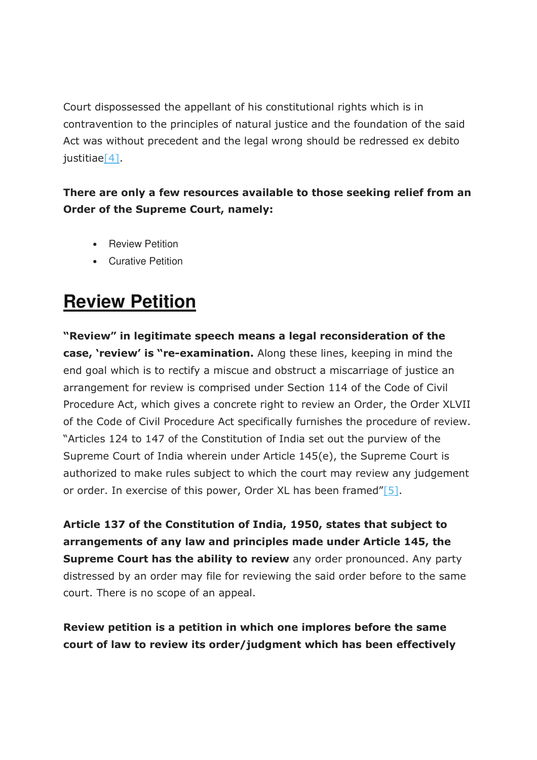Court dispossessed the appellant of his constitutional rights which is in contravention to the principles of natural justice and the foundation of the said Act was without precedent and the legal wrong should be redressed ex debito justitiae[4].

#### **There are only a few resources available to those seeking relief from an Order of the Supreme Court, namely:**

- Review Petition
- Curative Petition

# **Review Petition**

**"Review" in legitimate speech means a legal reconsideration of the case, 'review' is "re-examination.** Along these lines, keeping in mind the end goal which is to rectify a miscue and obstruct a miscarriage of justice an arrangement for review is comprised under Section 114 of the Code of Civil Procedure Act, which gives a concrete right to review an Order, the Order XLVII of the Code of Civil Procedure Act specifically furnishes the procedure of review. "Articles 124 to 147 of the Constitution of India set out the purview of the Supreme Court of India wherein under Article 145(e), the Supreme Court is authorized to make rules subject to which the court may review any judgement or order. In exercise of this power, Order XL has been framed"[5].

**Article 137 of the Constitution of India, 1950, states that subject to arrangements of any law and principles made under Article 145, the Supreme Court has the ability to review** any order pronounced. Any party distressed by an order may file for reviewing the said order before to the same court. There is no scope of an appeal.

**Review petition is a petition in which one implores before the same court of law to review its order/judgment which has been effectively**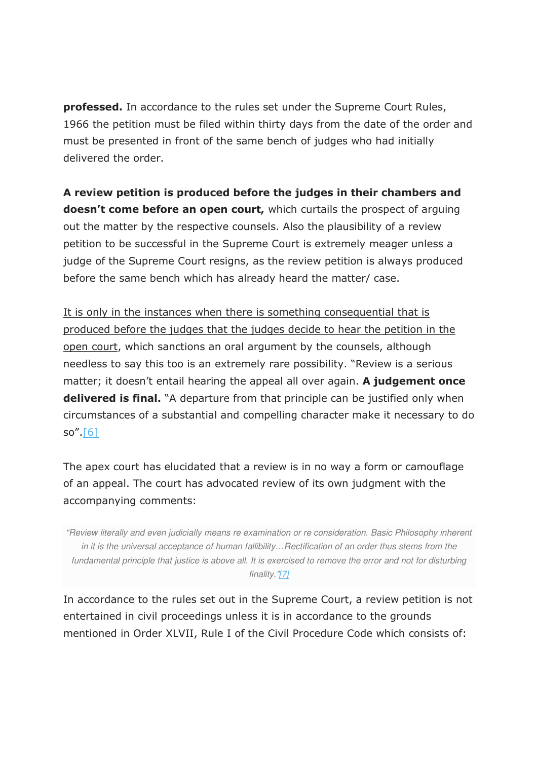**professed.** In accordance to the rules set under the Supreme Court Rules, 1966 the petition must be filed within thirty days from the date of the order and must be presented in front of the same bench of judges who had initially delivered the order.

**A review petition is produced before the judges in their chambers and doesn't come before an open court,** which curtails the prospect of arguing out the matter by the respective counsels. Also the plausibility of a review petition to be successful in the Supreme Court is extremely meager unless a judge of the Supreme Court resigns, as the review petition is always produced before the same bench which has already heard the matter/ case.

It is only in the instances when there is something consequential that is produced before the judges that the judges decide to hear the petition in the open court, which sanctions an oral argument by the counsels, although needless to say this too is an extremely rare possibility. "Review is a serious matter; it doesn't entail hearing the appeal all over again. **A judgement once delivered is final.** "A departure from that principle can be justified only when circumstances of a substantial and compelling character make it necessary to do so". $[6]$ 

The apex court has elucidated that a review is in no way a form or camouflage of an appeal. The court has advocated review of its own judgment with the accompanying comments:

"Review literally and even judicially means re examination or re consideration. Basic Philosophy inherent in it is the universal acceptance of human fallibility…Rectification of an order thus stems from the fundamental principle that justice is above all. It is exercised to remove the error and not for disturbing finality."[7]

In accordance to the rules set out in the Supreme Court, a review petition is not entertained in civil proceedings unless it is in accordance to the grounds mentioned in Order XLVII, Rule I of the Civil Procedure Code which consists of: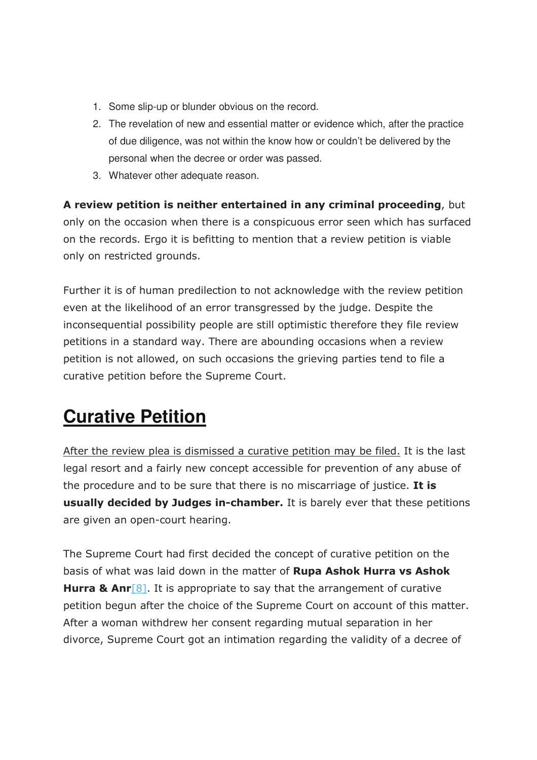- 1. Some slip-up or blunder obvious on the record.
- 2. The revelation of new and essential matter or evidence which, after the practice of due diligence, was not within the know how or couldn't be delivered by the personal when the decree or order was passed.
- 3. Whatever other adequate reason.

**A review petition is neither entertained in any criminal proceeding**, but only on the occasion when there is a conspicuous error seen which has surfaced on the records. Ergo it is befitting to mention that a review petition is viable only on restricted grounds.

Further it is of human predilection to not acknowledge with the review petition even at the likelihood of an error transgressed by the judge. Despite the inconsequential possibility people are still optimistic therefore they file review petitions in a standard way. There are abounding occasions when a review petition is not allowed, on such occasions the grieving parties tend to file a curative petition before the Supreme Court.

# **Curative Petition**

After the review plea is dismissed a curative petition may be filed. It is the last legal resort and a fairly new concept accessible for prevention of any abuse of the procedure and to be sure that there is no miscarriage of justice. **It is usually decided by Judges in-chamber.** It is barely ever that these petitions are given an open-court hearing.

The Supreme Court had first decided the concept of curative petition on the basis of what was laid down in the matter of **Rupa Ashok Hurra vs Ashok Hurra & Anr**<sup>[8]</sup>. It is appropriate to say that the arrangement of curative petition begun after the choice of the Supreme Court on account of this matter. After a woman withdrew her consent regarding mutual separation in her divorce, Supreme Court got an intimation regarding the validity of a decree of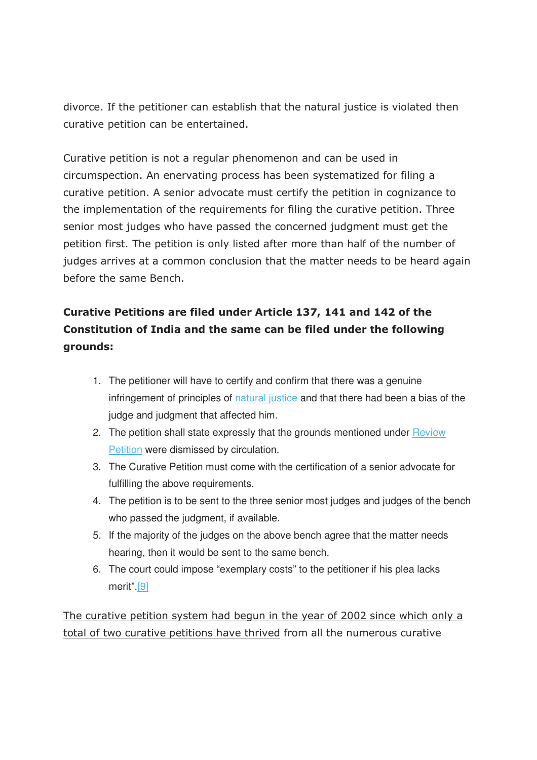divorce. If the petitioner can establish that the natural justice is violated then curative petition can be entertained.

Curative petition is not a regular phenomenon and can be used in circumspection. An enervating process has been systematized for filing a curative petition. A senior advocate must certify the petition in cognizance to the implementation of the requirements for filing the curative petition. Three senior most judges who have passed the concerned judgment must get the petition first. The petition is only listed after more than half of the number of judges arrives at a common conclusion that the matter needs to be heard again before the same Bench.

#### **Curative Petitions are filed under Article 137, 141 and 142 of the Constitution of India and the same can be filed under the following grounds:**

- 1. The petitioner will have to certify and confirm that there was a genuine infringement of principles of natural justice and that there had been a bias of the judge and judgment that affected him.
- 2. The petition shall state expressly that the grounds mentioned under Review Petition were dismissed by circulation.
- 3. The Curative Petition must come with the certification of a senior advocate for fulfilling the above requirements.
- 4. The petition is to be sent to the three senior most judges and judges of the bench who passed the judgment, if available.
- 5. If the majority of the judges on the above bench agree that the matter needs hearing, then it would be sent to the same bench.
- 6. The court could impose "exemplary costs" to the petitioner if his plea lacks merit".[9]

The curative petition system had begun in the year of 2002 since which only a total of two curative petitions have thrived from all the numerous curative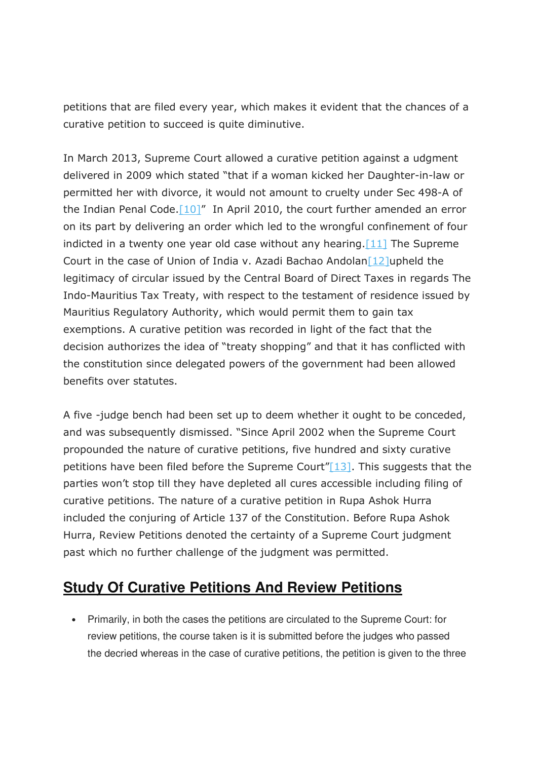petitions that are filed every year, which makes it evident that the chances of a curative petition to succeed is quite diminutive.

In March 2013, Supreme Court allowed a curative petition against a udgment delivered in 2009 which stated "that if a woman kicked her Daughter-in-law or permitted her with divorce, it would not amount to cruelty under Sec 498-A of the Indian Penal Code.<sup>[10]"</sup> In April 2010, the court further amended an error on its part by delivering an order which led to the wrongful confinement of four indicted in a twenty one year old case without any hearing.  $[11]$  The Supreme Court in the case of Union of India v. Azadi Bachao Andolan [12] upheld the legitimacy of circular issued by the Central Board of Direct Taxes in regards The Indo-Mauritius Tax Treaty, with respect to the testament of residence issued by Mauritius Regulatory Authority, which would permit them to gain tax exemptions. A curative petition was recorded in light of the fact that the decision authorizes the idea of "treaty shopping" and that it has conflicted with the constitution since delegated powers of the government had been allowed benefits over statutes.

A five -judge bench had been set up to deem whether it ought to be conceded, and was subsequently dismissed. "Since April 2002 when the Supreme Court propounded the nature of curative petitions, five hundred and sixty curative petitions have been filed before the Supreme Court" $[13]$ . This suggests that the parties won't stop till they have depleted all cures accessible including filing of curative petitions. The nature of a curative petition in Rupa Ashok Hurra included the conjuring of Article 137 of the Constitution. Before Rupa Ashok Hurra, Review Petitions denoted the certainty of a Supreme Court judgment past which no further challenge of the judgment was permitted.

### **Study Of Curative Petitions And Review Petitions**

• Primarily, in both the cases the petitions are circulated to the Supreme Court: for review petitions, the course taken is it is submitted before the judges who passed the decried whereas in the case of curative petitions, the petition is given to the three